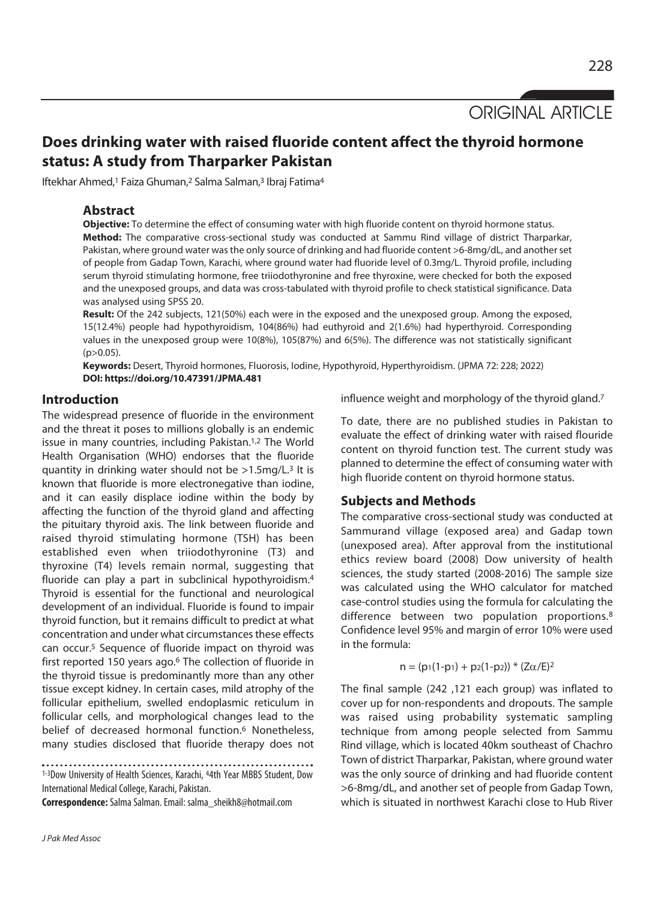ORIGINAL ARTICLE

# **Does drinking water with raised fluoride content affect the thyroid hormone status: A study from Tharparker Pakistan**

Iftekhar Ahmed,<sup>1</sup> Faiza Ghuman,<sup>2</sup> Salma Salman,<sup>3</sup> Ibraj Fatima<sup>4</sup>

# **Abstract**

**Objective:** To determine the effect of consuming water with high fluoride content on thyroid hormone status. **Method:** The comparative cross-sectional study was conducted at Sammu Rind village of district Tharparkar, Pakistan, where ground water was the only source of drinking and had fluoride content >6-8mg/dL, and another set of people from Gadap Town, Karachi, where ground water had fluoride level of 0.3mg/L. Thyroid profile, including serum thyroid stimulating hormone, free triiodothyronine and free thyroxine, were checked for both the exposed and the unexposed groups, and data was cross-tabulated with thyroid profile to check statistical significance. Data was analysed using SPSS 20.

**Result:** Of the 242 subjects, 121(50%) each were in the exposed and the unexposed group. Among the exposed, 15(12.4%) people had hypothyroidism, 104(86%) had euthyroid and 2(1.6%) had hyperthyroid. Corresponding values in the unexposed group were 10(8%), 105(87%) and 6(5%). The difference was not statistically significant  $(p>0.05)$ .

**Keywords:** Desert, Thyroid hormones, Fluorosis, Iodine, Hypothyroid, Hyperthyroidism. (JPMA 72: 228; 2022) **DOI: https://doi.org/10.47391/JPMA.481** 

# **Introduction**

The widespread presence of fluoride in the environment and the threat it poses to millions globally is an endemic issue in many countries, including Pakistan.<sup>1,2</sup> The World Health Organisation (WHO) endorses that the fluoride quantity in drinking water should not be >1.5mg/L.3 It is known that fluoride is more electronegative than iodine, and it can easily displace iodine within the body by affecting the function of the thyroid gland and affecting the pituitary thyroid axis. The link between fluoride and raised thyroid stimulating hormone (TSH) has been established even when triiodothyronine (T3) and thyroxine (T4) levels remain normal, suggesting that fluoride can play a part in subclinical hypothyroidism.<sup>4</sup> Thyroid is essential for the functional and neurological development of an individual. Fluoride is found to impair thyroid function, but it remains difficult to predict at what concentration and under what circumstances these effects can occur.5 Sequence of fluoride impact on thyroid was first reported 150 years ago.<sup>6</sup> The collection of fluoride in the thyroid tissue is predominantly more than any other tissue except kidney. In certain cases, mild atrophy of the follicular epithelium, swelled endoplasmic reticulum in follicular cells, and morphological changes lead to the belief of decreased hormonal function.<sup>6</sup> Nonetheless, many studies disclosed that fluoride therapy does not

1-3Dow University of Health Sciences, Karachi, 44th Year MBBS Student, Dow International Medical College, Karachi, Pakistan.

**Correspondence:** Salma Salman. Email: salma\_sheikh8@hotmail.com

J Pak Med Assoc

influence weight and morphology of the thyroid gland.7

To date, there are no published studies in Pakistan to evaluate the effect of drinking water with raised flouride content on thyroid function test. The current study was planned to determine the effect of consuming water with high fluoride content on thyroid hormone status.

# **Subjects and Methods**

The comparative cross-sectional study was conducted at Sammurand village (exposed area) and Gadap town (unexposed area). After approval from the institutional ethics review board (2008) Dow university of health sciences, the study started (2008-2016) The sample size was calculated using the WHO calculator for matched case-control studies using the formula for calculating the difference between two population proportions.8 Confidence level 95% and margin of error 10% were used in the formula:

$$
n = (p_1(1-p_1) + p_2(1-p_2)) * (Z\alpha/E)^2
$$

The final sample (242 ,121 each group) was inflated to cover up for non-respondents and dropouts. The sample was raised using probability systematic sampling technique from among people selected from Sammu Rind village, which is located 40km southeast of Chachro Town of district Tharparkar, Pakistan, where ground water was the only source of drinking and had fluoride content >6-8mg/dL, and another set of people from Gadap Town, which is situated in northwest Karachi close to Hub River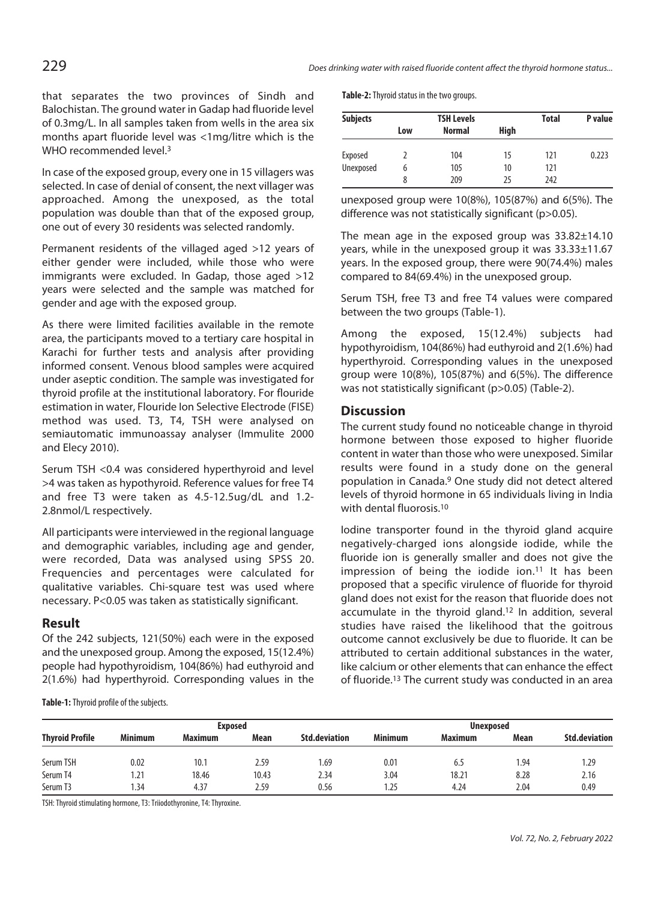that separates the two provinces of Sindh and Balochistan. The ground water in Gadap had fluoride level of 0.3mg/L. In all samples taken from wells in the area six months apart fluoride level was <1mg/litre which is the WHO recommended level.<sup>3</sup>

In case of the exposed group, every one in 15 villagers was selected. In case of denial of consent, the next villager was approached. Among the unexposed, as the total population was double than that of the exposed group, one out of every 30 residents was selected randomly.

Permanent residents of the villaged aged >12 years of either gender were included, while those who were immigrants were excluded. In Gadap, those aged >12 years were selected and the sample was matched for gender and age with the exposed group.

As there were limited facilities available in the remote area, the participants moved to a tertiary care hospital in Karachi for further tests and analysis after providing informed consent. Venous blood samples were acquired under aseptic condition. The sample was investigated for thyroid profile at the institutional laboratory. For flouride estimation in water, Flouride Ion Selective Electrode (FISE) method was used. T3, T4, TSH were analysed on semiautomatic immunoassay analyser (Immulite 2000 and Elecy 2010).

Serum TSH <0.4 was considered hyperthyroid and level >4 was taken as hypothyroid. Reference values for free T4 and free T3 were taken as 4.5-12.5ug/dL and 1.2- 2.8nmol/L respectively.

All participants were interviewed in the regional language and demographic variables, including age and gender, were recorded, Data was analysed using SPSS 20. Frequencies and percentages were calculated for qualitative variables. Chi-square test was used where necessary. P<0.05 was taken as statistically significant.

#### **Result**

Of the 242 subjects, 121(50%) each were in the exposed and the unexposed group. Among the exposed, 15(12.4%) people had hypothyroidism, 104(86%) had euthyroid and 2(1.6%) had hyperthyroid. Corresponding values in the **Table-2:** Thyroid status in the two groups.

| <b>Subjects</b> |     | <b>TSH Levels</b> | <b>Total</b> | P value |       |
|-----------------|-----|-------------------|--------------|---------|-------|
|                 | Low | <b>Normal</b>     | High         |         |       |
| Exposed         |     | 104               | 15           | 121     | 0.223 |
| Unexposed       | 6   | 105               | 10           | 121     |       |
|                 | 8   | 209               | 25           | 242     |       |

unexposed group were 10(8%), 105(87%) and 6(5%). The difference was not statistically significant (p>0.05).

The mean age in the exposed group was 33.82±14.10 years, while in the unexposed group it was 33.33±11.67 years. In the exposed group, there were 90(74.4%) males compared to 84(69.4%) in the unexposed group.

Serum TSH, free T3 and free T4 values were compared between the two groups (Table-1).

Among the exposed, 15(12.4%) subjects had hypothyroidism, 104(86%) had euthyroid and 2(1.6%) had hyperthyroid. Corresponding values in the unexposed group were 10(8%), 105(87%) and 6(5%). The difference was not statistically significant (p>0.05) (Table-2).

#### **Discussion**

The current study found no noticeable change in thyroid hormone between those exposed to higher fluoride content in water than those who were unexposed. Similar results were found in a study done on the general population in Canada.9 One study did not detect altered levels of thyroid hormone in 65 individuals living in India with dental fluorosis.10

Iodine transporter found in the thyroid gland acquire negatively-charged ions alongside iodide, while the fluoride ion is generally smaller and does not give the impression of being the iodide ion.<sup>11</sup> It has been proposed that a specific virulence of fluoride for thyroid gland does not exist for the reason that fluoride does not accumulate in the thyroid gland.12 In addition, several studies have raised the likelihood that the goitrous outcome cannot exclusively be due to fluoride. It can be attributed to certain additional substances in the water, like calcium or other elements that can enhance the effect of fluoride.13 The current study was conducted in an area

**Table-1:** Thyroid profile of the subjects.

|                        | Exposed        |                |       |                      | <b>Unexposed</b> |                |      |                      |
|------------------------|----------------|----------------|-------|----------------------|------------------|----------------|------|----------------------|
| <b>Thyroid Profile</b> | <b>Minimum</b> | <b>Maximum</b> | Mean  | <b>Std.deviation</b> | <b>Minimum</b>   | <b>Maximum</b> | Mean | <b>Std.deviation</b> |
| Serum TSH              | 0.02           | 10.1           | 2.59  | 69.،                 | 0.01             | 6.5            | 1.94 | .29                  |
| Serum T4               | 1.21           | 18.46          | 10.43 | 2.34                 | 3.04             | 18.21          | 8.28 | 2.16                 |
| Serum T3               | l.34           | 4.37           | 2.59  | 0.56                 | 1.25             | 4.24           | 2.04 | 0.49                 |

TSH: Thyroid stimulating hormone, T3: Triiodothyronine, T4: Thyroxine.